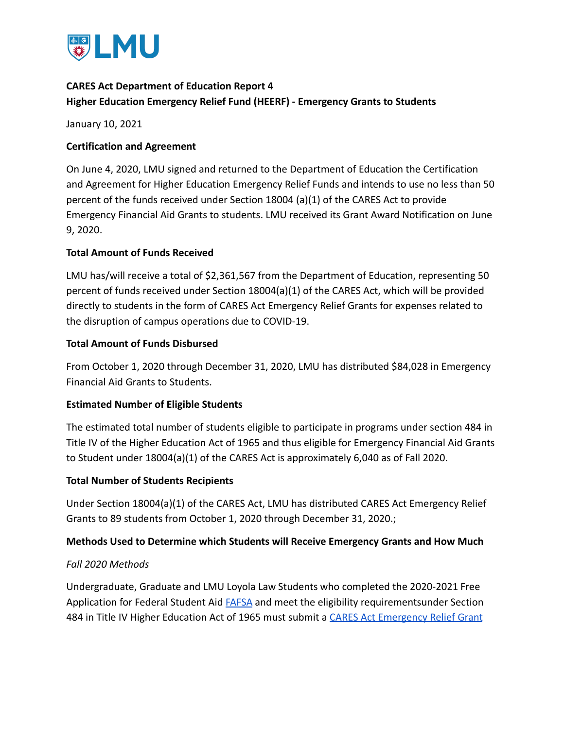

# **CARES Act Department of Education Report 4 Higher Education Emergency Relief Fund (HEERF) - Emergency Grants to Students**

January 10, 2021

### **Certification and Agreement**

On June 4, 2020, LMU signed and returned to the Department of Education the Certification and Agreement for Higher Education Emergency Relief Funds and intends to use no less than 50 percent of the funds received under Section 18004 (a)(1) of the CARES Act to provide Emergency Financial Aid Grants to students. LMU received its Grant Award Notification on June 9, 2020.

### **Total Amount of Funds Received**

LMU has/will receive a total of \$2,361,567 from the Department of Education, representing 50 percent of funds received under Section 18004(a)(1) of the CARES Act, which will be provided directly to students in the form of CARES Act Emergency Relief Grants for expenses related to the disruption of campus operations due to COVID-19.

### **Total Amount of Funds Disbursed**

From October 1, 2020 through December 31, 2020, LMU has distributed \$84,028 in Emergency Financial Aid Grants to Students.

### **Estimated Number of Eligible Students**

The estimated total number of students eligible to participate in programs under section 484 in Title IV of the Higher Education Act of 1965 and thus eligible for Emergency Financial Aid Grants to Student under 18004(a)(1) of the CARES Act is approximately 6,040 as of Fall 2020.

### **Total Number of Students Recipients**

Under Section 18004(a)(1) of the CARES Act, LMU has distributed CARES Act Emergency Relief Grants to 89 students from October 1, 2020 through December 31, 2020.;

### **Methods Used to Determine which Students will Receive Emergency Grants and How Much**

### *Fall 2020 Methods*

Undergraduate, Graduate and LMU Loyola Law Students who completed the 2020-2021 Free Application for Federal Student Aid **[FAFSA](https://studentaid.gov/h/apply-for-aid/fafsa)** and meet the eligibility requirementsunder Section 484 in Title IV Higher Education Act of 1965 must submit a [CARES Act Emergency Relief Grant](https://financialaid.lmu.edu/media/lmufinaid/graduatefinancialaid/2020-2021graduateforms/CARES%20Act%20Emergency%20Relief%20Application_2020_2021.pdf)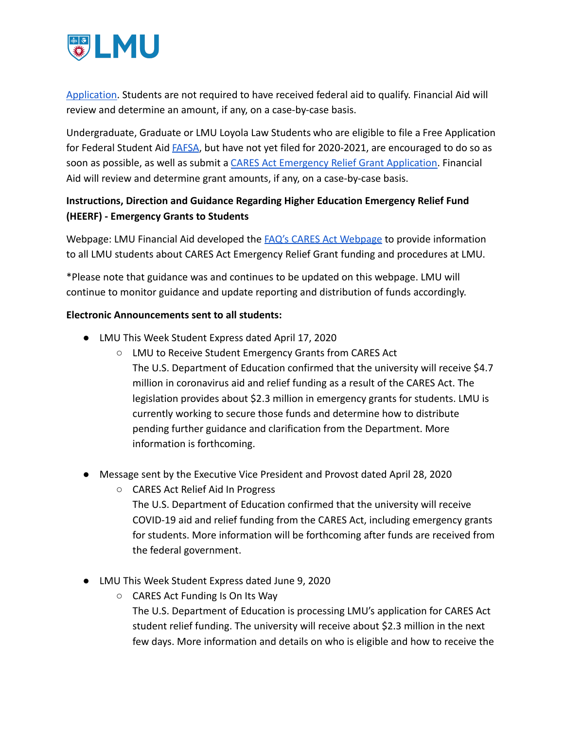

[Application](https://financialaid.lmu.edu/media/lmufinaid/graduatefinancialaid/2020-2021graduateforms/CARES%20Act%20Emergency%20Relief%20Application_2020_2021.pdf). Students are not required to have received federal aid to qualify. Financial Aid will review and determine an amount, if any, on a case-by-case basis.

Undergraduate, Graduate or LMU Loyola Law Students who are eligible to file a Free Application for Federal Student Aid [FAFSA](https://studentaid.gov/h/apply-for-aid/fafsa), but have not yet filed for 2020-2021, are encouraged to do so as soon as possible, as well as submit a CARES Act Emergency [Relief Grant Application.](https://financialaid.lmu.edu/media/lmufinaid/graduatefinancialaid/2020-2021graduateforms/CARES%20Act%20Emergency%20Relief%20Application_2020_2021.pdf) Financial Aid will review and determine grant amounts, if any, on a case-by-case basis.

## **Instructions, Direction and Guidance Regarding Higher Education Emergency Relief Fund (HEERF) - Emergency Grants to Students**

Webpage: LMU Financial Aid developed the FAQ's CARES [Act Webpage](https://financialaid.lmu.edu/current/caresactemergencyreliefgrant/) to provide information to all LMU students about CARES Act Emergency Relief Grant funding and procedures at LMU.

\*Please note that guidance was and continues to be updated on this webpage. LMU will continue to monitor guidance and update reporting and distribution of funds accordingly.

#### **Electronic Announcements sent to all students:**

- LMU This Week Student Express dated April 17, 2020
	- LMU to Receive Student Emergency Grants from CARES Act The U.S. Department of Education confirmed that the university will receive \$4.7 million in coronavirus aid and relief funding as a result of the CARES Act. The legislation provides about \$2.3 million in emergency grants for students. LMU is currently working to secure those funds and determine how to distribute pending further guidance and clarification from the Department. More information is forthcoming.
- Message sent by the Executive Vice President and Provost dated April 28, 2020
	- CARES Act Relief Aid In Progress The U.S. Department of Education confirmed that the university will receive COVID-19 aid and relief funding from the CARES Act, including emergency grants for students. More information will be forthcoming after funds are received from the federal government.
- LMU This Week Student Express dated June 9, 2020
	- CARES Act Funding Is On Its Way The U.S. Department of Education is processing LMU's application for CARES Act

student relief funding. The university will receive about \$2.3 million in the next few days. More information and details on who is eligible and how to receive the